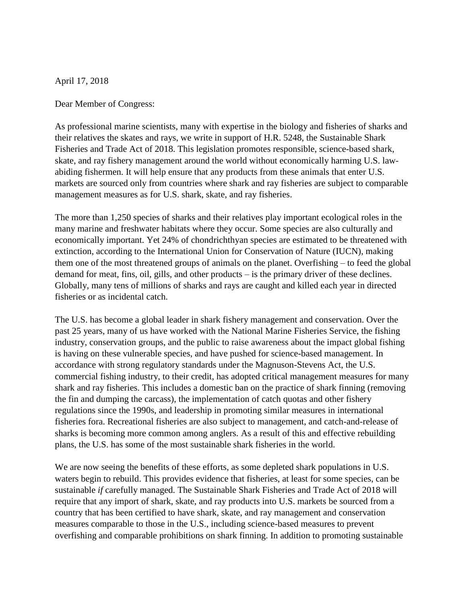April 17, 2018

Dear Member of Congress:

As professional marine scientists, many with expertise in the biology and fisheries of sharks and their relatives the skates and rays, we write in support of H.R. 5248, the Sustainable Shark Fisheries and Trade Act of 2018. This legislation promotes responsible, science-based shark, skate, and ray fishery management around the world without economically harming U.S. lawabiding fishermen. It will help ensure that any products from these animals that enter U.S. markets are sourced only from countries where shark and ray fisheries are subject to comparable management measures as for U.S. shark, skate, and ray fisheries.

The more than 1,250 species of sharks and their relatives play important ecological roles in the many marine and freshwater habitats where they occur. Some species are also culturally and economically important. Yet 24% of chondrichthyan species are estimated to be threatened with extinction, according to the International Union for Conservation of Nature (IUCN), making them one of the most threatened groups of animals on the planet. Overfishing – to feed the global demand for meat, fins, oil, gills, and other products – is the primary driver of these declines. Globally, many tens of millions of sharks and rays are caught and killed each year in directed fisheries or as incidental catch.

The U.S. has become a global leader in shark fishery management and conservation. Over the past 25 years, many of us have worked with the National Marine Fisheries Service, the fishing industry, conservation groups, and the public to raise awareness about the impact global fishing is having on these vulnerable species, and have pushed for science-based management. In accordance with strong regulatory standards under the Magnuson-Stevens Act, the U.S. commercial fishing industry, to their credit, has adopted critical management measures for many shark and ray fisheries. This includes a domestic ban on the practice of shark finning (removing the fin and dumping the carcass), the implementation of catch quotas and other fishery regulations since the 1990s, and leadership in promoting similar measures in international fisheries fora. Recreational fisheries are also subject to management, and catch-and-release of sharks is becoming more common among anglers. As a result of this and effective rebuilding plans, the U.S. has some of the most sustainable shark fisheries in the world.

We are now seeing the benefits of these efforts, as some depleted shark populations in U.S. waters begin to rebuild. This provides evidence that fisheries, at least for some species, can be sustainable *if* carefully managed. The Sustainable Shark Fisheries and Trade Act of 2018 will require that any import of shark, skate, and ray products into U.S. markets be sourced from a country that has been certified to have shark, skate, and ray management and conservation measures comparable to those in the U.S., including science-based measures to prevent overfishing and comparable prohibitions on shark finning. In addition to promoting sustainable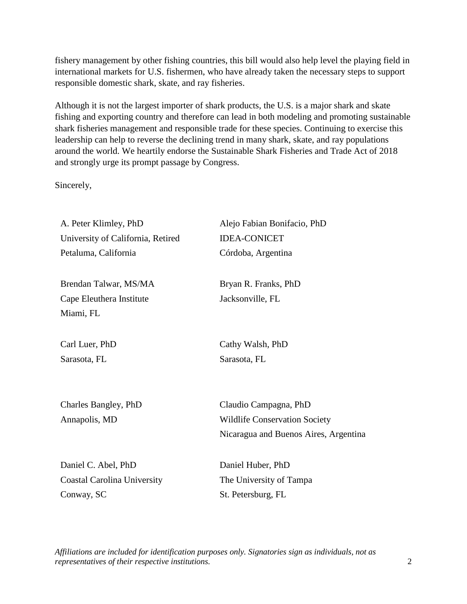fishery management by other fishing countries, this bill would also help level the playing field in international markets for U.S. fishermen, who have already taken the necessary steps to support responsible domestic shark, skate, and ray fisheries.

Although it is not the largest importer of shark products, the U.S. is a major shark and skate fishing and exporting country and therefore can lead in both modeling and promoting sustainable shark fisheries management and responsible trade for these species. Continuing to exercise this leadership can help to reverse the declining trend in many shark, skate, and ray populations around the world. We heartily endorse the Sustainable Shark Fisheries and Trade Act of 2018 and strongly urge its prompt passage by Congress.

Sincerely,

| A. Peter Klimley, PhD              | Alejo Fabian Bonifacio, PhD           |
|------------------------------------|---------------------------------------|
| University of California, Retired  | <b>IDEA-CONICET</b>                   |
| Petaluma, California               | Córdoba, Argentina                    |
|                                    |                                       |
| Brendan Talwar, MS/MA              | Bryan R. Franks, PhD                  |
| Cape Eleuthera Institute           | Jacksonville, FL                      |
| Miami, FL                          |                                       |
| Carl Luer, PhD                     | Cathy Walsh, PhD                      |
| Sarasota, FL                       | Sarasota, FL                          |
|                                    |                                       |
| Charles Bangley, PhD               | Claudio Campagna, PhD                 |
| Annapolis, MD                      | <b>Wildlife Conservation Society</b>  |
|                                    | Nicaragua and Buenos Aires, Argentina |
| Daniel C. Abel, PhD                | Daniel Huber, PhD                     |
| <b>Coastal Carolina University</b> | The University of Tampa               |
| Conway, SC                         | St. Petersburg, FL                    |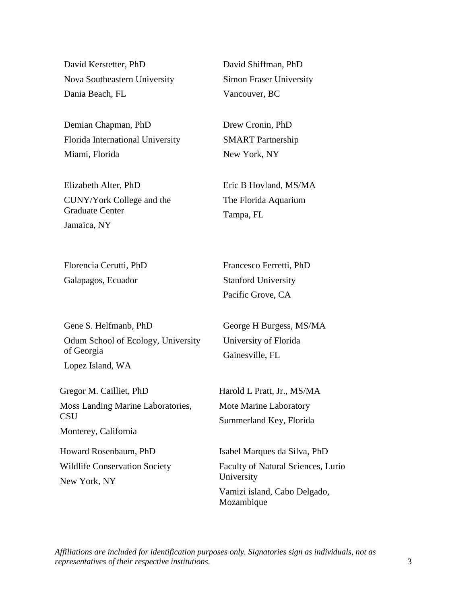David Kerstetter, PhD Nova Southeastern University Dania Beach, FL

Demian Chapman, PhD Florida International University Miami, Florida

Elizabeth Alter, PhD CUNY/York College and the Graduate Center Jamaica, NY

Florencia Cerutti, PhD Galapagos, Ecuador

David Shiffman, PhD Simon Fraser University Vancouver, BC

Drew Cronin, PhD SMART Partnership New York, NY

Eric B Hovland, MS/MA The Florida Aquarium Tampa, FL

Francesco Ferretti, PhD Stanford University Pacific Grove, CA

Gene S. Helfmanb, PhD Odum School of Ecology, University of Georgia

Lopez Island, WA

Gregor M. Cailliet, PhD Moss Landing Marine Laboratories, **CSU** 

Monterey, California

Howard Rosenbaum, PhD Wildlife Conservation Society New York, NY

George H Burgess, MS/MA University of Florida Gainesville, FL

Harold L Pratt, Jr., MS/MA Mote Marine Laboratory Summerland Key, Florida

Isabel Marques da Silva, PhD Faculty of Natural Sciences, Lurio University Vamizi island, Cabo Delgado, Mozambique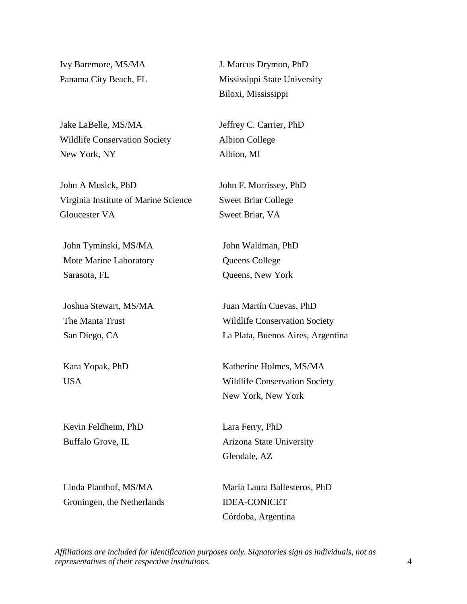Ivy Baremore, MS/MA Panama City Beach, FL

Jake LaBelle, MS/MA Wildlife Conservation Society New York, NY

John A Musick, PhD Virginia Institute of Marine Science Gloucester VA

John Tyminski, MS/MA Mote Marine Laboratory Sarasota, FL

Joshua Stewart, MS/MA The Manta Trust San Diego, CA

Kara Yopak, PhD USA

Kevin Feldheim, PhD Buffalo Grove, IL

Linda Planthof, MS/MA Groningen, the Netherlands J. Marcus Drymon, PhD Mississippi State University Biloxi, Mississippi

Jeffrey C. Carrier, PhD Albion College Albion, MI

John F. Morrissey, PhD Sweet Briar College Sweet Briar, VA

John Waldman, PhD Queens College Queens, New York

Juan Martín Cuevas, PhD Wildlife Conservation Society La Plata, Buenos Aires, Argentina

Katherine Holmes, MS/MA Wildlife Conservation Society New York, New York

Lara Ferry, PhD Arizona State University Glendale, AZ

María Laura Ballesteros, PhD IDEA-CONICET Córdoba, Argentina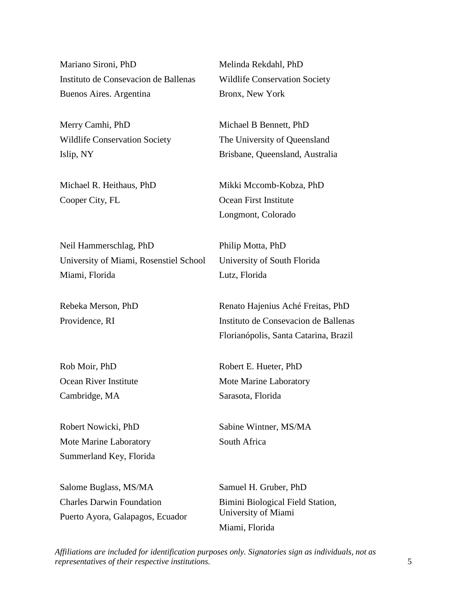Mariano Sironi, PhD Instituto de Consevacion de Ballenas Buenos Aires. Argentina

Merry Camhi, PhD Wildlife Conservation Society Islip, NY

Michael R. Heithaus, PhD Cooper City, FL

Neil Hammerschlag, PhD University of Miami, Rosenstiel School Miami, Florida

Rebeka Merson, PhD Providence, RI

Rob Moir, PhD Ocean River Institute Cambridge, MA

Robert Nowicki, PhD Mote Marine Laboratory Summerland Key, Florida

Salome Buglass, MS/MA Charles Darwin Foundation Puerto Ayora, Galapagos, Ecuador Melinda Rekdahl, PhD Wildlife Conservation Society Bronx, New York

Michael B Bennett, PhD The University of Queensland Brisbane, Queensland, Australia

Mikki Mccomb-Kobza, PhD Ocean First Institute Longmont, Colorado

Philip Motta, PhD University of South Florida Lutz, Florida

Renato Hajenius Aché Freitas, PhD Instituto de Consevacion de Ballenas Florianópolis, Santa Catarina, Brazil

Robert E. Hueter, PhD Mote Marine Laboratory Sarasota, Florida

Sabine Wintner, MS/MA South Africa

Samuel H. Gruber, PhD Bimini Biological Field Station, University of Miami Miami, Florida